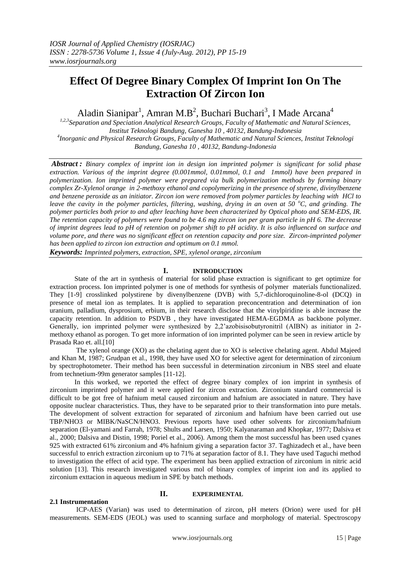# **Effect Of Degree Binary Complex Of Imprint Ion On The Extraction Of Zircon Ion**

Aladin Sianipar<sup>1</sup>, Amran M.B<sup>2</sup>, Buchari Buchari<sup>3</sup>, I Made Arcana<sup>4</sup>

*1,2,3Separation and Speciation Analytical Research Groups, Faculty of Mathematic and Natural Sciences, Institut Teknologi Bandung, Ganesha 10 , 40132, Bandung-Indonesia 4 Inorganic and Physical Research Groups, Faculty of Mathematic and Natural Sciences, Institut Teknologi Bandung, Ganesha 10 , 40132, Bandung-Indonesia* 

*Abstract : Binary complex of imprint ion in design ion imprinted polymer is significant for solid phase extraction. Various of the imprint degree (0.001mmol, 0.01mmol, 0.1 and 1mmol) have been prepared in polymerization. Ion imprinted polymer were prepared via bulk polymerization methods by forming binary complex Zr-Xylenol orange in 2-methoxy ethanol and copolymerizing in the presence of styrene, divinylbenzene and benzene peroxide as an initiator. Zircon ion were removed from polymer particles by leaching with HCl to leave the cavity in the polymer particles, filtering, washing, drying in an oven at 50 °C, and grinding. The polymer particles both prior to and after leaching have been characterized by Optical photo and SEM-EDS, IR. The retention capacity of polymers were found to be 4.6 mg zircon ion per gram particle in pH 6. The decrease of imprint degrees lead to pH of retention on polymer shift to pH acidity. It is also influenced on surface and volume pore, and there was no significant effect on retention capacity and pore size. Zircon-imprinted polymer has been applied to zircon ion extraction and optimum on 0.1 mmol.* 

*Keywords: Imprinted polymers, extraction, SPE, xylenol orange, zirconium*

## **I. INTRODUCTION**

State of the art in synthesis of material for solid phase extraction is significant to get optimize for extraction process. Ion imprinted polymer is one of methods for synthesis of polymer materials functionalized. They [1-9] crosslinked polystirene by divenylbenzene (DVB) with 5,7-dichloroquinoline-8-ol (DCQ) in presence of metal ion as templates. It is applied to separation preconcentration and determination of ion uranium, palladium, dysprosium, erbium, in their research disclose that the vinylpiridine is able increase the capacity retention. In addition to PSDVB , they have investigated HEMA-EGDMA as backbone polymer. Generally, ion imprinted polymer were synthesized by 2,2'azobisisobutyronitril (AIBN) as initiator in 2 methoxy ethanol as porogen. To get more information of ion imprinted polymer can be seen in review article by Prasada Rao et. all.[10]

 The xylenol orange (XO) as the chelating agent due to XO is selective chelating agent. Abdul Majeed and Khan M, 1987; Grudpan et al., 1998, they have used XO for selective agent for determination of zirconium by spectrophotometer. Their method has been successful in determination zirconium in NBS steel and eluate from technetium-99m generator samples [11-12].

In this worked, we reported the effect of degree binary complex of ion imprint in synthesis of zirconium imprinted polymer and it were applied for zircon extraction. Zirconium standard commercial is difficult to be got free of hafnium metal caused zirconium and hafnium are associated in nature. They have opposite nuclear characteristics. Thus, they have to be separated prior to their transformation into pure metals. The development of solvent extraction for separated of zirconium and hafnium have been carried out use TBP/NHO3 or MIBK/NaSCN/HNO3. Previous reports have used other solvents for zirconium/hafnium separation (El-yamani and Farrah, 1978; Shults and Larsen, 1950; Kalyanaraman and Khopkar, 1977; Dalsiva et al., 2000; Dalsiva and Distin, 1998; Poriel et al., 2006). Among them the most successful has been used cyanes 925 with extracted 61% zirconium and 4% hafnium giving a separation factor 37. Taghizadech et al., have been successful to enrich extraction zirconium up to 71% at separation factor of 8.1. They have used Taguchi method to investigation the effect of acid type. The experiment has been applied extraction of zirconium in nitric acid solution [13]. This research investigated various mol of binary complex of imprint ion and its applied to zirconium exttacion in aqueous medium in SPE by batch methods.

## **II. EXPERIMENTAL**

**2.1 Instrumentation**

ICP-AES (Varian) was used to determination of zircon, pH meters (Orion) were used for pH measurements. SEM-EDS (JEOL) was used to scanning surface and morphology of material. Spectroscopy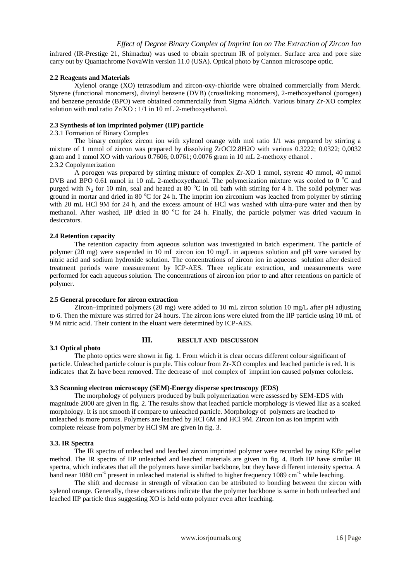infrared (IR-Prestige 21, Shimadzu) was used to obtain spectrum IR of polymer. Surface area and pore size carry out by Quantachrome NovaWin version 11.0 (USA). Optical photo by Cannon microscope optic.

## **2.2 Reagents and Materials**

Xylenol orange (XO) tetrasodium and zircon-oxy-chloride were obtained commercially from Merck. Styrene (functional monomers), divinyl benzene (DVB) (crosslinking monomers), 2-methoxyethanol (porogen) and benzene peroxide (BPO) were obtained commercially from Sigma Aldrich. Various binary Zr-XO complex solution with mol ratio Zr/XO : 1/1 in 10 mL 2-methoxyethanol.

## **2.3 Synthesis of ion imprinted polymer (IIP) particle**

2.3.1 Formation of Binary Complex

The binary complex zircon ion with xylenol orange with mol ratio 1/1 was prepared by stirring a mixture of 1 mmol of zircon was prepared by dissolving ZrOCl2.8H2O with various 0.3222; 0.0322; 0,0032 gram and 1 mmol XO with various 0.7606; 0.0761; 0.0076 gram in 10 mL 2-methoxy ethanol . 2.3.2 Copolymerization

A porogen was prepared by stirring mixture of complex Zr-XO 1 mmol, styrene 40 mmol, 40 mmol DVB and BPO 0.61 mmol in 10 mL 2-methoxyethanol. The polymerization mixture was cooled to 0  $\degree$ C and purged with  $N_2$  for 10 min, seal and heated at 80 °C in oil bath with stirring for 4 h. The solid polymer was ground in mortar and dried in 80  $^{\circ}$ C for 24 h. The imprint ion zirconium was leached from polymer by stirring with 20 mL HCl 9M for 24 h, and the excess amount of HCl was washed with ultra-pure water and then by methanol. After washed, IIP dried in 80 °C for 24 h. Finally, the particle polymer was dried vacuum in desiccators.

## **2.4 Retention capacity**

The retention capacity from aqueous solution was investigated in batch experiment. The particle of polymer (20 mg) were suspended in 10 mL zircon ion 10 mg/L in aqueous solution and pH were variated by nitric acid and sodium hydroxide solution. The concentrations of zircon ion in aqueous solution after desired treatment periods were measurement by ICP-AES. Three replicate extraction, and measurements were performed for each aqueous solution. The concentrations of zircon ion prior to and after retentions on particle of polymer.

## **2.5 General procedure for zircon extraction**

Zircon–imprinted polymers (20 mg) were added to 10 mL zircon solution 10 mg/L after pH adjusting to 6. Then the mixture was stirred for 24 hours. The zircon ions were eluted from the IIP particle using 10 mL of 9 M nitric acid. Their content in the eluant were determined by ICP-AES.

## **3.1 Optical photo**

#### **III. RESULT AND DISCUSSION**

The photo optics were shown in fig. 1. From which it is clear occurs different colour significant of particle. Unleached particle colour is purple. This colour from Zr-XO complex and leached particle is red. It is indicates that Zr have been removed. The decrease of mol complex of imprint ion caused polymer colorless.

## **3.3 Scanning electron microscopy (SEM)-Energy disperse spectroscopy (EDS)**

The morphology of polymers produced by bulk polymerization were assessed by SEM-EDS with magnitude 2000 are given in fig. 2. The results show that leached particle morphology is viewed like as a soaked morphology. It is not smooth if compare to unleached particle. Morphology of polymers are leached to unleached is more porous. Polymers are leached by HCl 6M and HCl 9M. Zircon ion as ion imprint with complete release from polymer by HCl 9M are given in fig. 3.

#### **3.3. IR Spectra**

The IR spectra of unleached and leached zircon imprinted polymer were recorded by using KBr pellet method. The IR spectra of IIP unleached and leached materials are given in fig. 4. Both IIP have similar IR spectra, which indicates that all the polymers have similar backbone, but they have different intensity spectra. A band near 1080 cm<sup>-1</sup> present in unleached material is shifted to higher frequency 1089 cm<sup>-1</sup> while leaching.

The shift and decrease in strength of vibration can be attributed to bonding between the zircon with xylenol orange. Generally, these observations indicate that the polymer backbone is same in both unleached and leached IIP particle thus suggesting XO is held onto polymer even after leaching.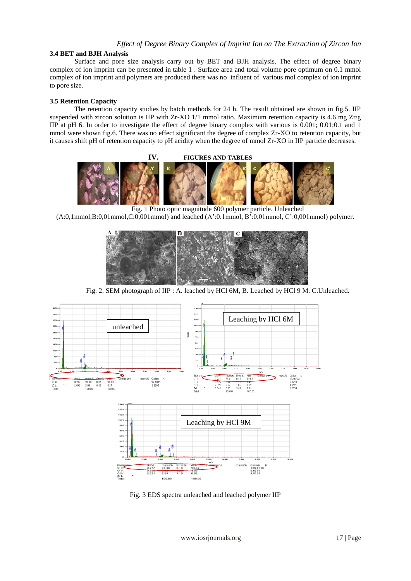## **3.4 BET and BJH Analysis**

Surface and pore size analysis carry out by BET and BJH analysis. The effect of degree binary complex of ion imprint can be presented in table 1 . Surface area and total volume pore optimum on 0.1 mmol complex of ion imprint and polymers are produced there was no influent of various mol complex of ion imprint to pore size.

## **3.5 Retention Capacity**

The retention capacity studies by batch methods for 24 h. The result obtained are shown in fig.5. IIP suspended with zircon solution is IIP with Zr-XO 1/1 mmol ratio. Maximum retention capacity is 4.6 mg Zr/g IIP at pH 6. In order to investigate the effect of degree binary complex with various is 0.001; 0.01;0.1 and 1 mmol were shown fig.6. There was no effect significant the degree of complex Zr-XO to retention capacity, but it causes shift pH of retention capacity to pH acidity when the degree of mmol Zr-XO in IIP particle decreases.



Fig. 1 Photo optic magnitude 600 polymer particle. Unleached (A:0,1mmol,B:0,01mmol,C:0,001mmol) and leached (A':0,1mmol, B':0,01mmol, C':0,001mmol) polymer.



Fig. 2. SEM photograph of IIP : A. leached by HCl 6M, B. Leached by HCl 9 M. C.Unleached.



Fig. 3 EDS spectra unleached and leached polymer IIP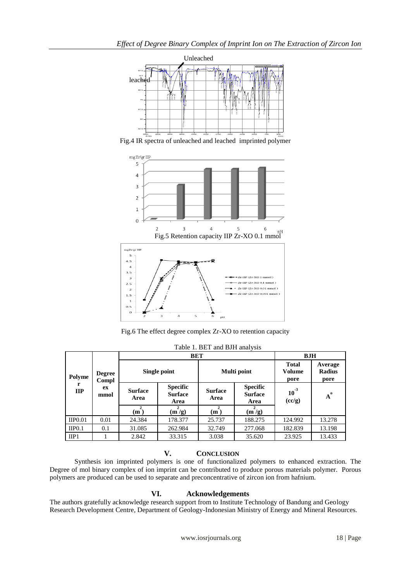

Fig.4 IR spectra of unleached and leached imprinted polymer





Fig.6 The effect degree complex Zr-XO to retention capacity

| raone 1. DET and Diff and you |                                      |                        |                                           |                        |                                           |                                |                                  |
|-------------------------------|--------------------------------------|------------------------|-------------------------------------------|------------------------|-------------------------------------------|--------------------------------|----------------------------------|
| Polyme<br>r<br>$\mathbf{H}$   | <b>Degree</b><br>Compl<br>ex<br>mmol | BET                    |                                           |                        |                                           | <b>BJH</b>                     |                                  |
|                               |                                      | Single point           |                                           | Multi point            |                                           | <b>Total</b><br>Volume<br>pore | Average<br><b>Radius</b><br>pore |
|                               |                                      | <b>Surface</b><br>Area | <b>Specific</b><br><b>Surface</b><br>Area | <b>Surface</b><br>Area | <b>Specific</b><br><b>Surface</b><br>Area | $10^{-3}$<br>(cc/g)            | $A^{\circ}$                      |
|                               |                                      | (m)                    | $(m-/g)$                                  | (m)                    | $\left(\frac{m^2}{g}\right)$              |                                |                                  |
| IIP <sub>0.01</sub>           | 0.01                                 | 24.384                 | 178.377                                   | 25.737                 | 188.275                                   | 124.992                        | 13.278                           |
| IIP <sub>0.1</sub>            | 0.1                                  | 31.085                 | 262.984                                   | 32.749                 | 277.068                                   | 182.839                        | 13.198                           |
| IIPI                          |                                      | 2.842                  | 33.315                                    | 3.038                  | 35.620                                    | 23.925                         | 13.433                           |

Table 1. BET and BJH analysis

## **V. CONCLUSION**

Synthesis ion imprinted polymers is one of functionalized polymers to enhanced extraction. The Degree of mol binary complex of ion imprint can be contributed to produce porous materials polymer. Porous polymers are produced can be used to separate and preconcentrative of zircon ion from hafnium.

## **VI. Acknowledgements**

The authors gratefully acknowledge research support from to Institute Technology of Bandung and Geology Research Development Centre, Department of Geology-Indonesian Ministry of Energy and Mineral Resources.